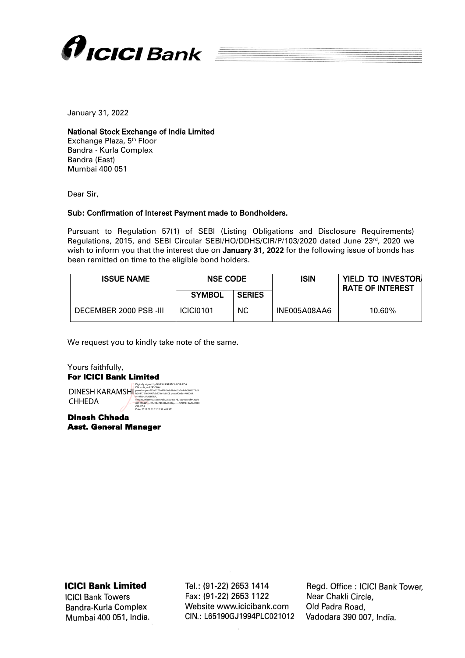

January 31, 2022

## National Stock Exchange of India Limited

Exchange Plaza, 5<sup>th</sup> Floor Bandra - Kurla Complex Bandra (East) Mumbai 400 051

Dear Sir,

## Sub: Confirmation of Interest Payment made to Bondholders.

Pursuant to Regulation 57(1) of SEBI (Listing Obligations and Disclosure Requirements) Regulations, 2015, and SEBI Circular SEBI/HO/DDHS/CIR/P/103/2020 dated June 23rd, 2020 we wish to inform you that the interest due on January 31, 2022 for the following issue of bonds has been remitted on time to the eligible bond holders.

| <b>ISSUE NAME</b>      | <b>NSE CODE</b>  |               | ISIN         | <b>YIELD TO INVESTORI</b><br><b>RATE OF INTEREST</b> |
|------------------------|------------------|---------------|--------------|------------------------------------------------------|
|                        | <b>SYMBOL</b>    | <b>SERIES</b> |              |                                                      |
| DECEMBER 2000 PSB -III | <b>ICICI0101</b> | <b>NC</b>     | INE005A08AA6 | 10.60%                                               |

We request you to kindly take note of the same.

Yours faithfully, For ICICI Bank Limited **DINESH KARAMSHI CHHEDA** Digitally signed by DINESH KARAMSHI CHHEDA DN: c=IN, o=PERSONAL, pseudonym=f32e6271cd78f9e9d1ded5e7e4cb0803673d3 b264175166492fc5d01fe1c680f, postalCode=400068, st=MAHARASHTRA, serialNumber=695c1c67cb0355049e7d7c50c6189f44200b 821277445bd21a28474982bd7416, cn=DINESH KARAMSHI CHHEDA Date: 2022.01.31 12:26:38 +05'30'

Dinesh Chheda Asst. General Manager

**ICICI Bank Limited** 

**ICICI Bank Towers** Bandra-Kurla Complex Mumbai 400 051, India. Tel.: (91-22) 2653 1414 Fax: (91-22) 2653 1122 Website www.icicibank.com CIN.: L65190GJ1994PLC021012

Regd. Office: ICICI Bank Tower. Near Chakli Circle. Old Padra Road, Vadodara 390 007, India.